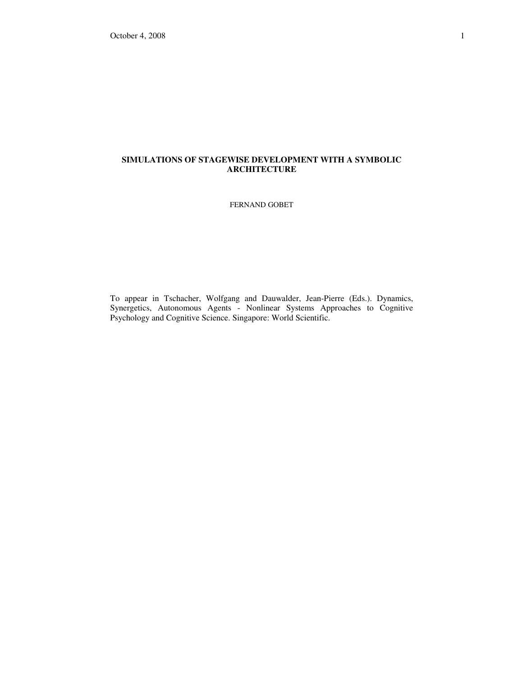# **SIMULATIONS OF STAGEWISE DEVELOPMENT WITH A SYMBOLIC ARCHITECTURE**

FERNAND GOBET

To appear in Tschacher, Wolfgang and Dauwalder, Jean-Pierre (Eds.). Dynamics, Synergetics, Autonomous Agents - Nonlinear Systems Approaches to Cognitive Psychology and Cognitive Science. Singapore: World Scientific.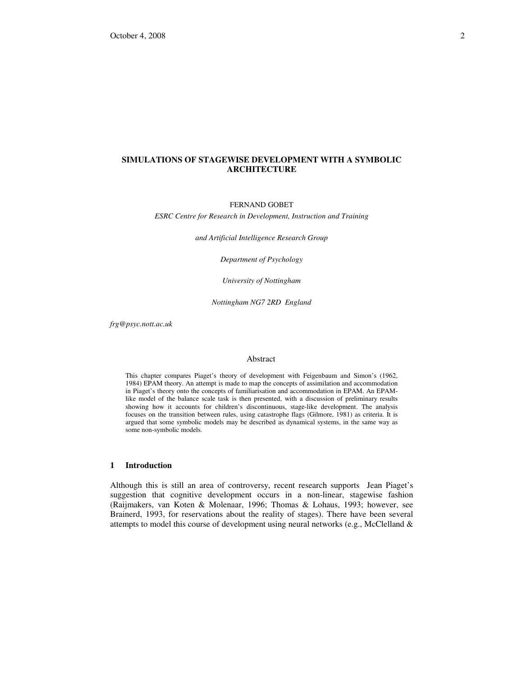# **SIMULATIONS OF STAGEWISE DEVELOPMENT WITH A SYMBOLIC ARCHITECTURE**

#### FERNAND GOBET

*ESRC Centre for Research in Development, Instruction and Training* 

*and Artificial Intelligence Research Group* 

*Department of Psychology* 

*University of Nottingham* 

*Nottingham NG7 2RD England* 

*frg@psyc.nott.ac.uk* 

#### Abstract

This chapter compares Piaget's theory of development with Feigenbaum and Simon's (1962, 1984) EPAM theory. An attempt is made to map the concepts of assimilation and accommodation in Piaget's theory onto the concepts of familiarisation and accommodation in EPAM. An EPAMlike model of the balance scale task is then presented, with a discussion of preliminary results showing how it accounts for children's discontinuous, stage-like development. The analysis focuses on the transition between rules, using catastrophe flags (Gilmore, 1981) as criteria. It is argued that some symbolic models may be described as dynamical systems, in the same way as some non-symbolic models.

# **1 Introduction**

Although this is still an area of controversy, recent research supports Jean Piaget's suggestion that cognitive development occurs in a non-linear, stagewise fashion (Raijmakers, van Koten & Molenaar, 1996; Thomas & Lohaus, 1993; however, see Brainerd, 1993, for reservations about the reality of stages). There have been several attempts to model this course of development using neural networks (e.g., McClelland  $\&$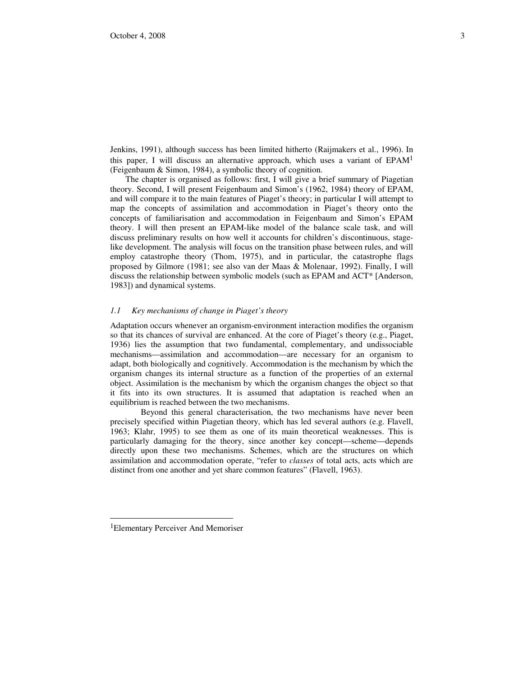Jenkins, 1991), although success has been limited hitherto (Raijmakers et al., 1996). In this paper, I will discuss an alternative approach, which uses a variant of  $EPAM<sup>1</sup>$ (Feigenbaum & Simon, 1984), a symbolic theory of cognition.

The chapter is organised as follows: first, I will give a brief summary of Piagetian theory. Second, I will present Feigenbaum and Simon's (1962, 1984) theory of EPAM, and will compare it to the main features of Piaget's theory; in particular I will attempt to map the concepts of assimilation and accommodation in Piaget's theory onto the concepts of familiarisation and accommodation in Feigenbaum and Simon's EPAM theory. I will then present an EPAM-like model of the balance scale task, and will discuss preliminary results on how well it accounts for children's discontinuous, stagelike development. The analysis will focus on the transition phase between rules, and will employ catastrophe theory (Thom, 1975), and in particular, the catastrophe flags proposed by Gilmore (1981; see also van der Maas & Molenaar, 1992). Finally, I will discuss the relationship between symbolic models (such as EPAM and ACT\* [Anderson, 1983]) and dynamical systems.

### *1.1 Key mechanisms of change in Piaget's theory*

Adaptation occurs whenever an organism-environment interaction modifies the organism so that its chances of survival are enhanced. At the core of Piaget's theory (e.g., Piaget, 1936) lies the assumption that two fundamental, complementary, and undissociable mechanisms—assimilation and accommodation—are necessary for an organism to adapt, both biologically and cognitively. Accommodation is the mechanism by which the organism changes its internal structure as a function of the properties of an external object. Assimilation is the mechanism by which the organism changes the object so that it fits into its own structures. It is assumed that adaptation is reached when an equilibrium is reached between the two mechanisms.

 Beyond this general characterisation, the two mechanisms have never been precisely specified within Piagetian theory, which has led several authors (e.g. Flavell, 1963; Klahr, 1995) to see them as one of its main theoretical weaknesses. This is particularly damaging for the theory, since another key concept—scheme—depends directly upon these two mechanisms. Schemes, which are the structures on which assimilation and accommodation operate, "refer to *classes* of total acts, acts which are distinct from one another and yet share common features" (Flavell, 1963).

-

<sup>1</sup>Elementary Perceiver And Memoriser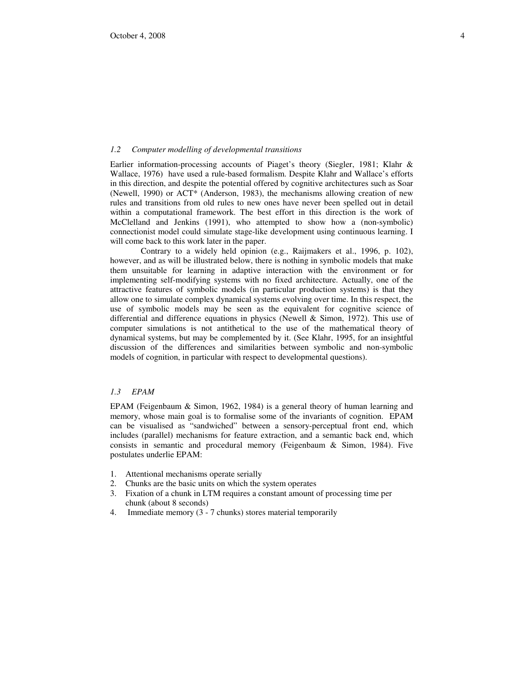### *1.2 Computer modelling of developmental transitions*

Earlier information-processing accounts of Piaget's theory (Siegler, 1981; Klahr & Wallace, 1976) have used a rule-based formalism. Despite Klahr and Wallace's efforts in this direction, and despite the potential offered by cognitive architectures such as Soar (Newell, 1990) or ACT\* (Anderson, 1983), the mechanisms allowing creation of new rules and transitions from old rules to new ones have never been spelled out in detail within a computational framework. The best effort in this direction is the work of McClelland and Jenkins (1991), who attempted to show how a (non-symbolic) connectionist model could simulate stage-like development using continuous learning. I will come back to this work later in the paper.

 Contrary to a widely held opinion (e.g., Raijmakers et al., 1996, p. 102), however, and as will be illustrated below, there is nothing in symbolic models that make them unsuitable for learning in adaptive interaction with the environment or for implementing self-modifying systems with no fixed architecture. Actually, one of the attractive features of symbolic models (in particular production systems) is that they allow one to simulate complex dynamical systems evolving over time. In this respect, the use of symbolic models may be seen as the equivalent for cognitive science of differential and difference equations in physics (Newell & Simon, 1972). This use of computer simulations is not antithetical to the use of the mathematical theory of dynamical systems, but may be complemented by it. (See Klahr, 1995, for an insightful discussion of the differences and similarities between symbolic and non-symbolic models of cognition, in particular with respect to developmental questions).

# *1.3 EPAM*

EPAM (Feigenbaum & Simon, 1962, 1984) is a general theory of human learning and memory, whose main goal is to formalise some of the invariants of cognition. EPAM can be visualised as "sandwiched" between a sensory-perceptual front end, which includes (parallel) mechanisms for feature extraction, and a semantic back end, which consists in semantic and procedural memory (Feigenbaum & Simon, 1984). Five postulates underlie EPAM:

- 1. Attentional mechanisms operate serially
- 2. Chunks are the basic units on which the system operates
- 3. Fixation of a chunk in LTM requires a constant amount of processing time per chunk (about 8 seconds)
- 4. Immediate memory (3 7 chunks) stores material temporarily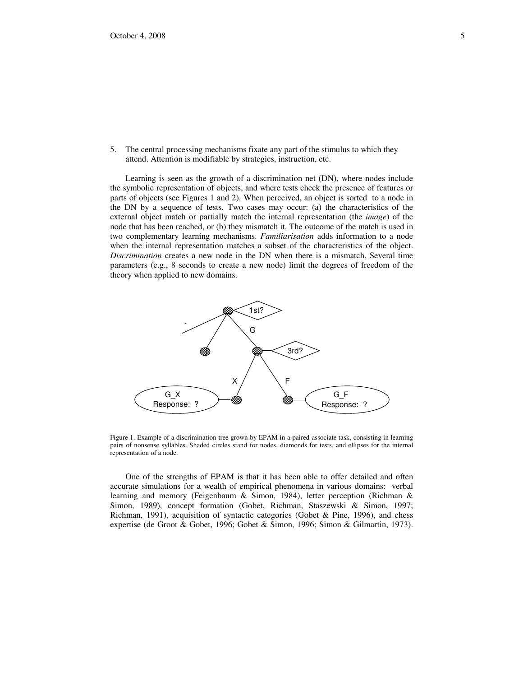5. The central processing mechanisms fixate any part of the stimulus to which they attend. Attention is modifiable by strategies, instruction, etc.

Learning is seen as the growth of a discrimination net (DN), where nodes include the symbolic representation of objects, and where tests check the presence of features or parts of objects (see Figures 1 and 2). When perceived, an object is sorted to a node in the DN by a sequence of tests. Two cases may occur: (a) the characteristics of the external object match or partially match the internal representation (the *image*) of the node that has been reached, or (b) they mismatch it. The outcome of the match is used in two complementary learning mechanisms. *Familiarisation* adds information to a node when the internal representation matches a subset of the characteristics of the object. *Discrimination* creates a new node in the DN when there is a mismatch. Several time parameters (e.g., 8 seconds to create a new node) limit the degrees of freedom of the theory when applied to new domains.



Figure 1. Example of a discrimination tree grown by EPAM in a paired-associate task, consisting in learning pairs of nonsense syllables. Shaded circles stand for nodes, diamonds for tests, and ellipses for the internal representation of a node.

One of the strengths of EPAM is that it has been able to offer detailed and often accurate simulations for a wealth of empirical phenomena in various domains: verbal learning and memory (Feigenbaum & Simon, 1984), letter perception (Richman & Simon, 1989), concept formation (Gobet, Richman, Staszewski & Simon, 1997; Richman, 1991), acquisition of syntactic categories (Gobet & Pine, 1996), and chess expertise (de Groot & Gobet, 1996; Gobet & Simon, 1996; Simon & Gilmartin, 1973).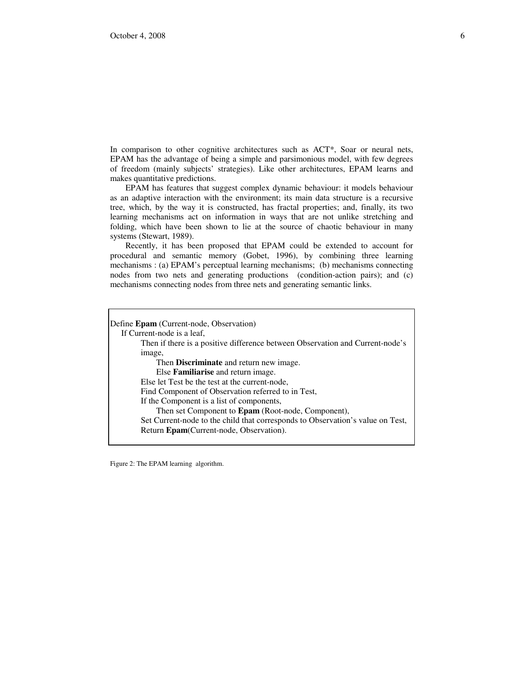In comparison to other cognitive architectures such as ACT\*, Soar or neural nets, EPAM has the advantage of being a simple and parsimonious model, with few degrees of freedom (mainly subjects' strategies). Like other architectures, EPAM learns and makes quantitative predictions.

EPAM has features that suggest complex dynamic behaviour: it models behaviour as an adaptive interaction with the environment; its main data structure is a recursive tree, which, by the way it is constructed, has fractal properties; and, finally, its two learning mechanisms act on information in ways that are not unlike stretching and folding, which have been shown to lie at the source of chaotic behaviour in many systems (Stewart, 1989).

Recently, it has been proposed that EPAM could be extended to account for procedural and semantic memory (Gobet, 1996), by combining three learning mechanisms : (a) EPAM's perceptual learning mechanisms; (b) mechanisms connecting nodes from two nets and generating productions (condition-action pairs); and (c) mechanisms connecting nodes from three nets and generating semantic links.

Define **Epam** (Current-node, Observation) If Current-node is a leaf, Then if there is a positive difference between Observation and Current-node's image, Then **Discriminate** and return new image. Else **Familiarise** and return image. Else let Test be the test at the current-node, Find Component of Observation referred to in Test, If the Component is a list of components, Then set Component to **Epam** (Root-node, Component), Set Current-node to the child that corresponds to Observation's value on Test, Return **Epam**(Current-node, Observation).

Figure 2: The EPAM learning algorithm.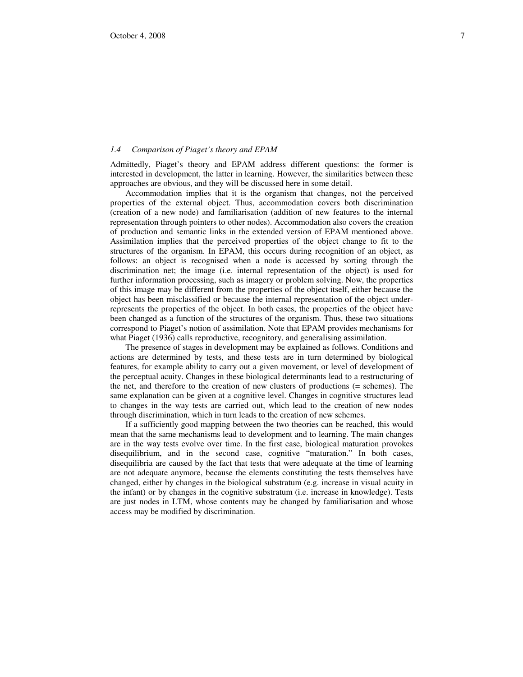### *1.4 Comparison of Piaget's theory and EPAM*

Admittedly, Piaget's theory and EPAM address different questions: the former is interested in development, the latter in learning. However, the similarities between these approaches are obvious, and they will be discussed here in some detail.

Accommodation implies that it is the organism that changes, not the perceived properties of the external object. Thus, accommodation covers both discrimination (creation of a new node) and familiarisation (addition of new features to the internal representation through pointers to other nodes). Accommodation also covers the creation of production and semantic links in the extended version of EPAM mentioned above. Assimilation implies that the perceived properties of the object change to fit to the structures of the organism. In EPAM, this occurs during recognition of an object, as follows: an object is recognised when a node is accessed by sorting through the discrimination net; the image (i.e. internal representation of the object) is used for further information processing, such as imagery or problem solving. Now, the properties of this image may be different from the properties of the object itself, either because the object has been misclassified or because the internal representation of the object underrepresents the properties of the object. In both cases, the properties of the object have been changed as a function of the structures of the organism. Thus, these two situations correspond to Piaget's notion of assimilation. Note that EPAM provides mechanisms for what Piaget (1936) calls reproductive, recognitory, and generalising assimilation.

The presence of stages in development may be explained as follows. Conditions and actions are determined by tests, and these tests are in turn determined by biological features, for example ability to carry out a given movement, or level of development of the perceptual acuity. Changes in these biological determinants lead to a restructuring of the net, and therefore to the creation of new clusters of productions (= schemes). The same explanation can be given at a cognitive level. Changes in cognitive structures lead to changes in the way tests are carried out, which lead to the creation of new nodes through discrimination, which in turn leads to the creation of new schemes.

If a sufficiently good mapping between the two theories can be reached, this would mean that the same mechanisms lead to development and to learning. The main changes are in the way tests evolve over time. In the first case, biological maturation provokes disequilibrium, and in the second case, cognitive "maturation." In both cases, disequilibria are caused by the fact that tests that were adequate at the time of learning are not adequate anymore, because the elements constituting the tests themselves have changed, either by changes in the biological substratum (e.g. increase in visual acuity in the infant) or by changes in the cognitive substratum (i.e. increase in knowledge). Tests are just nodes in LTM, whose contents may be changed by familiarisation and whose access may be modified by discrimination.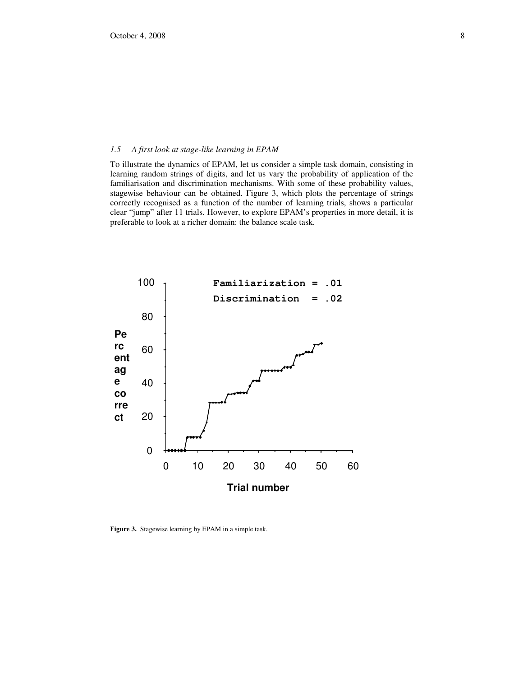### *1.5 A first look at stage-like learning in EPAM*

To illustrate the dynamics of EPAM, let us consider a simple task domain, consisting in learning random strings of digits, and let us vary the probability of application of the familiarisation and discrimination mechanisms. With some of these probability values, stagewise behaviour can be obtained. Figure 3, which plots the percentage of strings correctly recognised as a function of the number of learning trials, shows a particular clear "jump" after 11 trials. However, to explore EPAM's properties in more detail, it is preferable to look at a richer domain: the balance scale task.



**Figure 3.** Stagewise learning by EPAM in a simple task.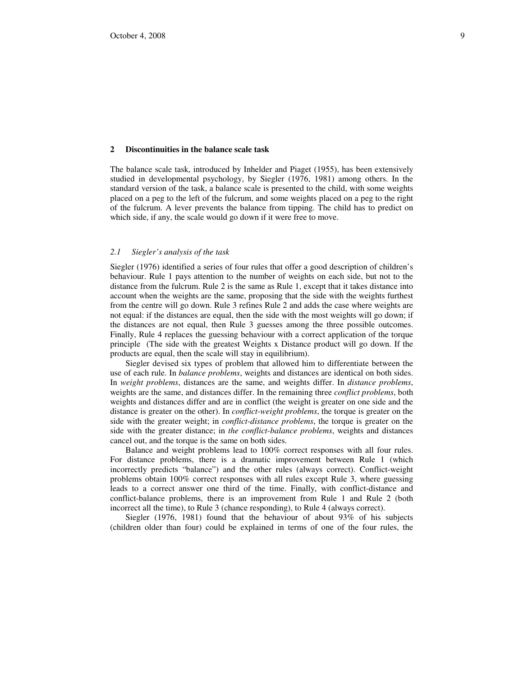## **2 Discontinuities in the balance scale task**

The balance scale task, introduced by Inhelder and Piaget (1955), has been extensively studied in developmental psychology, by Siegler (1976, 1981) among others. In the standard version of the task, a balance scale is presented to the child, with some weights placed on a peg to the left of the fulcrum, and some weights placed on a peg to the right of the fulcrum. A lever prevents the balance from tipping. The child has to predict on which side, if any, the scale would go down if it were free to move.

## *2.1 Siegler's analysis of the task*

Siegler (1976) identified a series of four rules that offer a good description of children's behaviour. Rule 1 pays attention to the number of weights on each side, but not to the distance from the fulcrum. Rule 2 is the same as Rule 1, except that it takes distance into account when the weights are the same, proposing that the side with the weights furthest from the centre will go down. Rule 3 refines Rule 2 and adds the case where weights are not equal: if the distances are equal, then the side with the most weights will go down; if the distances are not equal, then Rule 3 guesses among the three possible outcomes. Finally, Rule 4 replaces the guessing behaviour with a correct application of the torque principle (The side with the greatest Weights x Distance product will go down. If the products are equal, then the scale will stay in equilibrium).

Siegler devised six types of problem that allowed him to differentiate between the use of each rule. In *balance problems*, weights and distances are identical on both sides. In *weight problems*, distances are the same, and weights differ. In *distance problems*, weights are the same, and distances differ. In the remaining three *conflict problems*, both weights and distances differ and are in conflict (the weight is greater on one side and the distance is greater on the other). In *conflict-weight problems*, the torque is greater on the side with the greater weight; in *conflict-distance problems*, the torque is greater on the side with the greater distance; in *the conflict-balance problems*, weights and distances cancel out, and the torque is the same on both sides.

Balance and weight problems lead to 100% correct responses with all four rules. For distance problems, there is a dramatic improvement between Rule 1 (which incorrectly predicts "balance") and the other rules (always correct). Conflict-weight problems obtain 100% correct responses with all rules except Rule 3, where guessing leads to a correct answer one third of the time. Finally, with conflict-distance and conflict-balance problems, there is an improvement from Rule 1 and Rule 2 (both incorrect all the time), to Rule 3 (chance responding), to Rule 4 (always correct).

Siegler (1976, 1981) found that the behaviour of about 93% of his subjects (children older than four) could be explained in terms of one of the four rules, the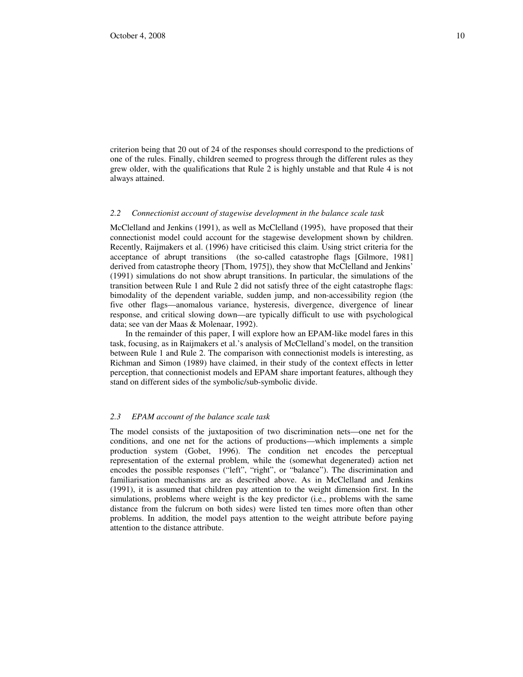criterion being that 20 out of 24 of the responses should correspond to the predictions of one of the rules. Finally, children seemed to progress through the different rules as they grew older, with the qualifications that Rule 2 is highly unstable and that Rule 4 is not always attained.

### *2.2 Connectionist account of stagewise development in the balance scale task*

McClelland and Jenkins (1991), as well as McClelland (1995), have proposed that their connectionist model could account for the stagewise development shown by children. Recently, Raijmakers et al. (1996) have criticised this claim. Using strict criteria for the acceptance of abrupt transitions (the so-called catastrophe flags [Gilmore, 1981] derived from catastrophe theory [Thom, 1975]), they show that McClelland and Jenkins' (1991) simulations do not show abrupt transitions. In particular, the simulations of the transition between Rule 1 and Rule 2 did not satisfy three of the eight catastrophe flags: bimodality of the dependent variable, sudden jump, and non-accessibility region (the five other flags—anomalous variance, hysteresis, divergence, divergence of linear response, and critical slowing down—are typically difficult to use with psychological data; see van der Maas & Molenaar, 1992).

In the remainder of this paper, I will explore how an EPAM-like model fares in this task, focusing, as in Raijmakers et al.'s analysis of McClelland's model, on the transition between Rule 1 and Rule 2. The comparison with connectionist models is interesting, as Richman and Simon (1989) have claimed, in their study of the context effects in letter perception, that connectionist models and EPAM share important features, although they stand on different sides of the symbolic/sub-symbolic divide.

#### *2.3 EPAM account of the balance scale task*

The model consists of the juxtaposition of two discrimination nets—one net for the conditions, and one net for the actions of productions—which implements a simple production system (Gobet, 1996). The condition net encodes the perceptual representation of the external problem, while the (somewhat degenerated) action net encodes the possible responses ("left", "right", or "balance"). The discrimination and familiarisation mechanisms are as described above. As in McClelland and Jenkins (1991), it is assumed that children pay attention to the weight dimension first. In the simulations, problems where weight is the key predictor (i.e., problems with the same distance from the fulcrum on both sides) were listed ten times more often than other problems. In addition, the model pays attention to the weight attribute before paying attention to the distance attribute.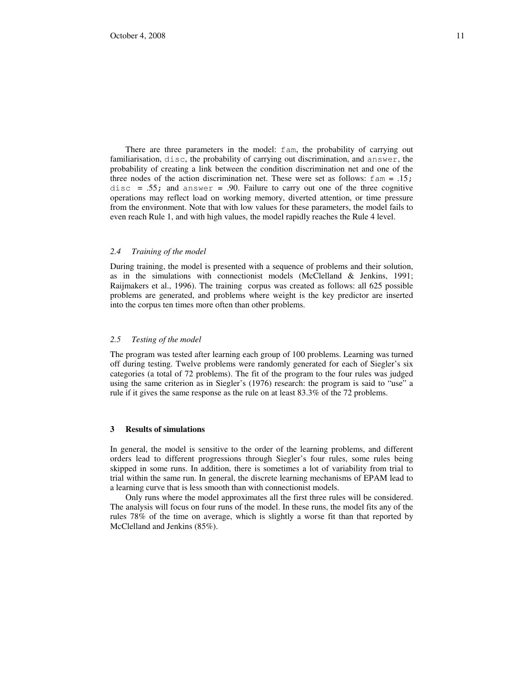There are three parameters in the model: fam, the probability of carrying out familiarisation, disc, the probability of carrying out discrimination, and answer, the probability of creating a link between the condition discrimination net and one of the three nodes of the action discrimination net. These were set as follows:  $f \text{ am} = .15$ ; disc = .55; and answer = .90. Failure to carry out one of the three cognitive operations may reflect load on working memory, diverted attention, or time pressure from the environment. Note that with low values for these parameters, the model fails to even reach Rule 1, and with high values, the model rapidly reaches the Rule 4 level.

#### *2.4 Training of the model*

During training, the model is presented with a sequence of problems and their solution, as in the simulations with connectionist models (McClelland & Jenkins, 1991; Raijmakers et al., 1996). The training corpus was created as follows: all 625 possible problems are generated, and problems where weight is the key predictor are inserted into the corpus ten times more often than other problems.

## *2.5 Testing of the model*

The program was tested after learning each group of 100 problems. Learning was turned off during testing. Twelve problems were randomly generated for each of Siegler's six categories (a total of 72 problems). The fit of the program to the four rules was judged using the same criterion as in Siegler's (1976) research: the program is said to "use" a rule if it gives the same response as the rule on at least 83.3% of the 72 problems.

### **3 Results of simulations**

In general, the model is sensitive to the order of the learning problems, and different orders lead to different progressions through Siegler's four rules, some rules being skipped in some runs. In addition, there is sometimes a lot of variability from trial to trial within the same run. In general, the discrete learning mechanisms of EPAM lead to a learning curve that is less smooth than with connectionist models.

Only runs where the model approximates all the first three rules will be considered. The analysis will focus on four runs of the model. In these runs, the model fits any of the rules 78% of the time on average, which is slightly a worse fit than that reported by McClelland and Jenkins (85%).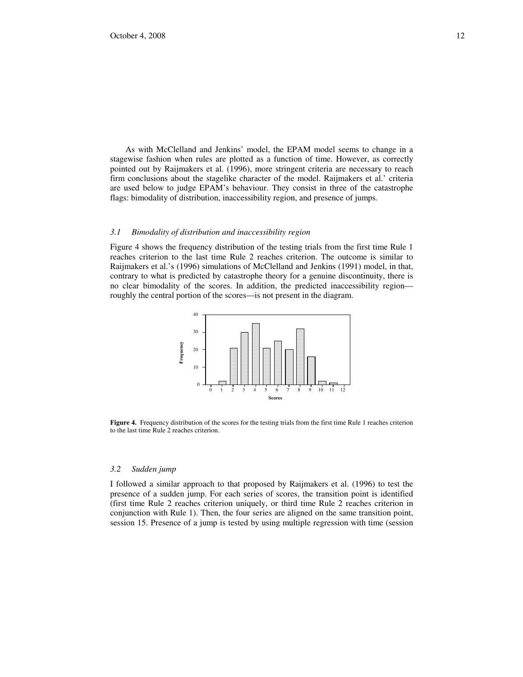As with McClelland and Jenkins' model, the EPAM model seems to change in a stagewise fashion when rules are plotted as a function of time. However, as correctly pointed out by Raijmakers et al. (1996), more stringent criteria are necessary to reach firm conclusions about the stagelike character of the model. Raijmakers et al.' criteria are used below to judge EPAM's behaviour. They consist in three of the catastrophe flags: bimodality of distribution, inaccessibility region, and presence of jumps.

### *3.1 Bimodality of distribution and inaccessibility region*

Figure 4 shows the frequency distribution of the testing trials from the first time Rule 1 reaches criterion to the last time Rule 2 reaches criterion. The outcome is similar to Raijmakers et al.'s (1996) simulations of McClelland and Jenkins (1991) model, in that, contrary to what is predicted by catastrophe theory for a genuine discontinuity, there is no clear bimodality of the scores. In addition, the predicted inaccessibility region roughly the central portion of the scores—is not present in the diagram.



**Figure 4.** Frequency distribution of the scores for the testing trials from the first time Rule 1 reaches criterion to the last time Rule 2 reaches criterion.

## *3.2 Sudden jump*

I followed a similar approach to that proposed by Raijmakers et al. (1996) to test the presence of a sudden jump. For each series of scores, the transition point is identified (first time Rule 2 reaches criterion uniquely, or third time Rule 2 reaches criterion in conjunction with Rule 1). Then, the four series are aligned on the same transition point, session 15. Presence of a jump is tested by using multiple regression with time (session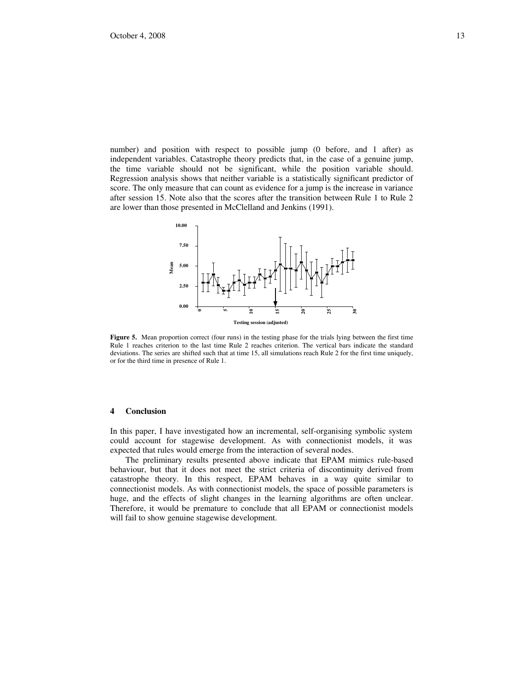number) and position with respect to possible jump (0 before, and 1 after) as independent variables. Catastrophe theory predicts that, in the case of a genuine jump, the time variable should not be significant, while the position variable should. Regression analysis shows that neither variable is a statistically significant predictor of score. The only measure that can count as evidence for a jump is the increase in variance after session 15. Note also that the scores after the transition between Rule 1 to Rule 2 are lower than those presented in McClelland and Jenkins (1991).



**Figure 5.** Mean proportion correct (four runs) in the testing phase for the trials lying between the first time Rule 1 reaches criterion to the last time Rule 2 reaches criterion. The vertical bars indicate the standard deviations. The series are shifted such that at time 15, all simulations reach Rule 2 for the first time uniquely, or for the third time in presence of Rule 1.

### **4 Conclusion**

In this paper, I have investigated how an incremental, self-organising symbolic system could account for stagewise development. As with connectionist models, it was expected that rules would emerge from the interaction of several nodes.

The preliminary results presented above indicate that EPAM mimics rule-based behaviour, but that it does not meet the strict criteria of discontinuity derived from catastrophe theory. In this respect, EPAM behaves in a way quite similar to connectionist models. As with connectionist models, the space of possible parameters is huge, and the effects of slight changes in the learning algorithms are often unclear. Therefore, it would be premature to conclude that all EPAM or connectionist models will fail to show genuine stagewise development.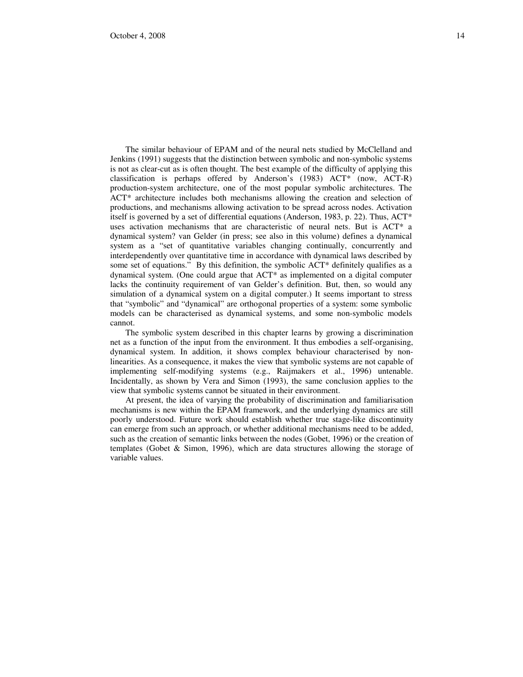The similar behaviour of EPAM and of the neural nets studied by McClelland and Jenkins (1991) suggests that the distinction between symbolic and non-symbolic systems is not as clear-cut as is often thought. The best example of the difficulty of applying this classification is perhaps offered by Anderson's (1983) ACT\* (now, ACT-R) production-system architecture, one of the most popular symbolic architectures. The ACT\* architecture includes both mechanisms allowing the creation and selection of productions, and mechanisms allowing activation to be spread across nodes. Activation itself is governed by a set of differential equations (Anderson, 1983, p. 22). Thus, ACT\* uses activation mechanisms that are characteristic of neural nets. But is ACT\* a dynamical system? van Gelder (in press; see also in this volume) defines a dynamical system as a "set of quantitative variables changing continually, concurrently and interdependently over quantitative time in accordance with dynamical laws described by some set of equations." By this definition, the symbolic  $ACT^*$  definitely qualifies as a dynamical system. (One could argue that ACT\* as implemented on a digital computer lacks the continuity requirement of van Gelder's definition. But, then, so would any simulation of a dynamical system on a digital computer.) It seems important to stress that "symbolic" and "dynamical" are orthogonal properties of a system: some symbolic models can be characterised as dynamical systems, and some non-symbolic models cannot.

The symbolic system described in this chapter learns by growing a discrimination net as a function of the input from the environment. It thus embodies a self-organising, dynamical system. In addition, it shows complex behaviour characterised by nonlinearities. As a consequence, it makes the view that symbolic systems are not capable of implementing self-modifying systems (e.g., Raijmakers et al., 1996) untenable. Incidentally, as shown by Vera and Simon (1993), the same conclusion applies to the view that symbolic systems cannot be situated in their environment.

At present, the idea of varying the probability of discrimination and familiarisation mechanisms is new within the EPAM framework, and the underlying dynamics are still poorly understood. Future work should establish whether true stage-like discontinuity can emerge from such an approach, or whether additional mechanisms need to be added, such as the creation of semantic links between the nodes (Gobet, 1996) or the creation of templates (Gobet & Simon, 1996), which are data structures allowing the storage of variable values.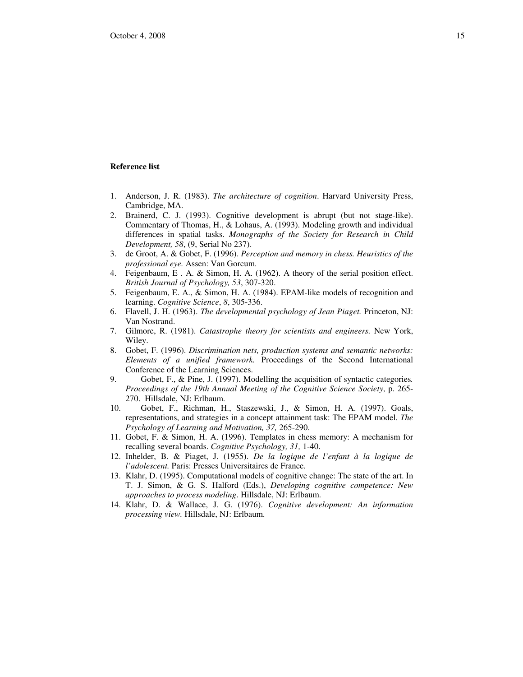### **Reference list**

- 1. Anderson, J. R. (1983). *The architecture of cognition*. Harvard University Press, Cambridge, MA.
- 2. Brainerd, C. J. (1993). Cognitive development is abrupt (but not stage-like). Commentary of Thomas, H., & Lohaus, A. (1993). Modeling growth and individual differences in spatial tasks. *Monographs of the Society for Research in Child Development, 58*, (9, Serial No 237).
- 3. de Groot, A. & Gobet, F. (1996). *Perception and memory in chess. Heuristics of the professional eye.* Assen: Van Gorcum.
- 4. Feigenbaum, E . A. & Simon, H. A. (1962). A theory of the serial position effect. *British Journal of Psychology, 53*, 307-320.
- 5. Feigenbaum, E. A., & Simon, H. A. (1984). EPAM-like models of recognition and learning. *Cognitive Science*, *8*, 305-336.
- 6. Flavell, J. H. (1963). *The developmental psychology of Jean Piaget.* Princeton, NJ: Van Nostrand.
- 7. Gilmore, R. (1981). *Catastrophe theory for scientists and engineers.* New York, Wiley.
- 8. Gobet, F. (1996). *Discrimination nets, production systems and semantic networks: Elements of a unified framework.* Proceedings of the Second International Conference of the Learning Sciences.
- 9. Gobet, F., & Pine, J. (1997). Modelling the acquisition of syntactic categories*. Proceedings of the 19th Annual Meeting of the Cognitive Science Society*, p. 265- 270. Hillsdale, NJ: Erlbaum.
- 10. Gobet, F., Richman, H., Staszewski, J., & Simon, H. A. (1997). Goals, representations, and strategies in a concept attainment task: The EPAM model. *The Psychology of Learning and Motivation, 37,* 265-290.
- 11. Gobet, F. & Simon, H. A. (1996). Templates in chess memory: A mechanism for recalling several boards. *Cognitive Psychology, 31,* 1-40.
- 12. Inhelder, B. & Piaget, J. (1955). *De la logique de l'enfant à la logique de l'adolescent.* Paris: Presses Universitaires de France.
- 13. Klahr, D. (1995). Computational models of cognitive change: The state of the art. In T. J. Simon, & G. S. Halford (Eds.), *Developing cognitive competence: New approaches to process modeling*. Hillsdale, NJ: Erlbaum.
- 14. Klahr, D. & Wallace, J. G. (1976). *Cognitive development: An information processing view.* Hillsdale, NJ: Erlbaum.